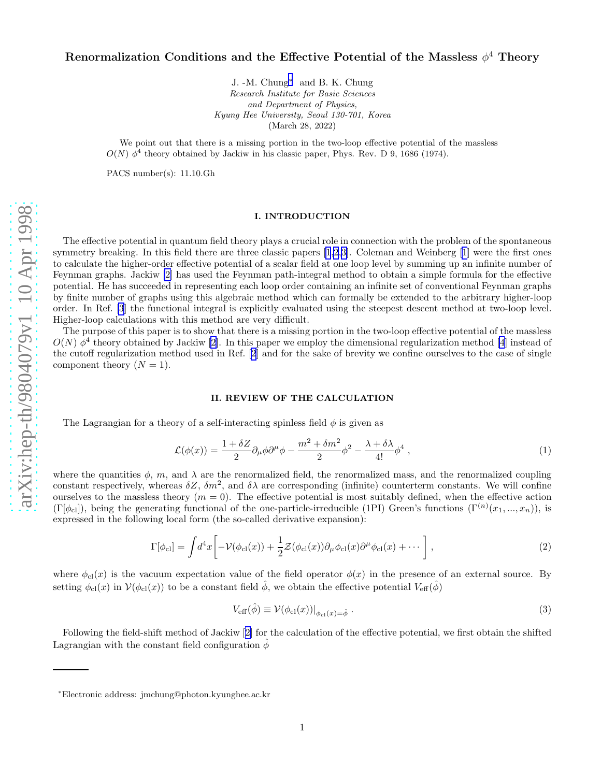# Renormalization Conditions and the Effective Potential of the Massless  $\phi^4$  Theory

J. -M. Chung<sup>\*</sup> and B. K. Chung Research Institute for Basic Sciences and Department of Physics, Kyung Hee University, Seoul 130-701, Korea (March 28, 2022)

We point out that there is a missing portion in the two-loop effective potential of the massless  $O(N)$   $\phi^4$  theory obtained by Jackiw in his classic paper, Phys. Rev. D 9, 1686 (1974).

PACS number(s): 11.10.Gh

# I. INTRODUCTION

The effective potential in quantum field theory plays a crucial role in connection with the problem of the spontaneous symmetry breaking. In this field there are three classic papers [\[1,2](#page-6-0),[3\]](#page-6-0). Coleman and Weinberg [\[1](#page-6-0)] were the first ones to calculate the higher-order effective potential of a scalar field at one loop level by summing up an infinite number of Feynman graphs. Jackiw [\[2\]](#page-6-0) has used the Feynman path-integral method to obtain a simple formula for the effective potential. He has succeeded in representing each loop order containing an infinite set of conventional Feynman graphs by finite number of graphs using this algebraic method which can formally be extended to the arbitrary higher-loop order. In Ref. [\[3](#page-6-0)] the functional integral is explicitly evaluated using the steepest descent method at two-loop level. Higher-loop calculations with this method are very difficult.

The purpose of this paper is to show that there is a missing portion in the two-loop effective potential of the massless  $O(N)$   $\phi^4$  theory obtained by Jackiw [\[2](#page-6-0)]. In this paper we employ the dimensional regularization method [\[4](#page-6-0)] instead of the cutoff regularization method used in Ref. [\[2](#page-6-0)] and for the sake of brevity we confine ourselves to the case of single component theory  $(N = 1)$ .

# II. REVIEW OF THE CALCULATION

The Lagrangian for a theory of a self-interacting spinless field  $\phi$  is given as

$$
\mathcal{L}(\phi(x)) = \frac{1 + \delta Z}{2} \partial_{\mu} \phi \partial^{\mu} \phi - \frac{m^2 + \delta m^2}{2} \phi^2 - \frac{\lambda + \delta \lambda}{4!} \phi^4 , \qquad (1)
$$

where the quantities  $\phi$ , m, and  $\lambda$  are the renormalized field, the renormalized mass, and the renormalized coupling constant respectively, whereas  $\delta Z$ ,  $\delta m^2$ , and  $\delta \lambda$  are corresponding (infinite) counterterm constants. We will confine ourselves to the massless theory  $(m = 0)$ . The effective potential is most suitably defined, when the effective action  $(\Gamma[\phi_{\text{cl}}])$ , being the generating functional of the one-particle-irreducible (1PI) Green's functions  $(\Gamma^{(n)}(x_1, ..., x_n))$ , is expressed in the following local form (the so-called derivative expansion):

$$
\Gamma[\phi_{\rm cl}] = \int d^4x \left[ -\mathcal{V}(\phi_{\rm cl}(x)) + \frac{1}{2} \mathcal{Z}(\phi_{\rm cl}(x)) \partial_\mu \phi_{\rm cl}(x) \partial^\mu \phi_{\rm cl}(x) + \cdots \right],\tag{2}
$$

where  $\phi_{\text{cl}}(x)$  is the vacuum expectation value of the field operator  $\phi(x)$  in the presence of an external source. By setting  $\phi_{\text{cl}}(x)$  in  $\mathcal{V}(\phi_{\text{cl}}(x))$  to be a constant field  $\hat{\phi}$ , we obtain the effective potential  $V_{\text{eff}}(\hat{\phi})$ 

$$
V_{\text{eff}}(\hat{\phi}) \equiv \mathcal{V}(\phi_{\text{cl}}(x))|_{\phi_{\text{cl}}(x) = \hat{\phi}}.
$$
\n(3)

Following the field-shift method of Jackiw[[2\]](#page-6-0) for the calculation of the effective potential, we first obtain the shifted Lagrangian with the constant field configuration  $\hat{\phi}$ 

<sup>∗</sup>Electronic address: jmchung@photon.kyunghee.ac.kr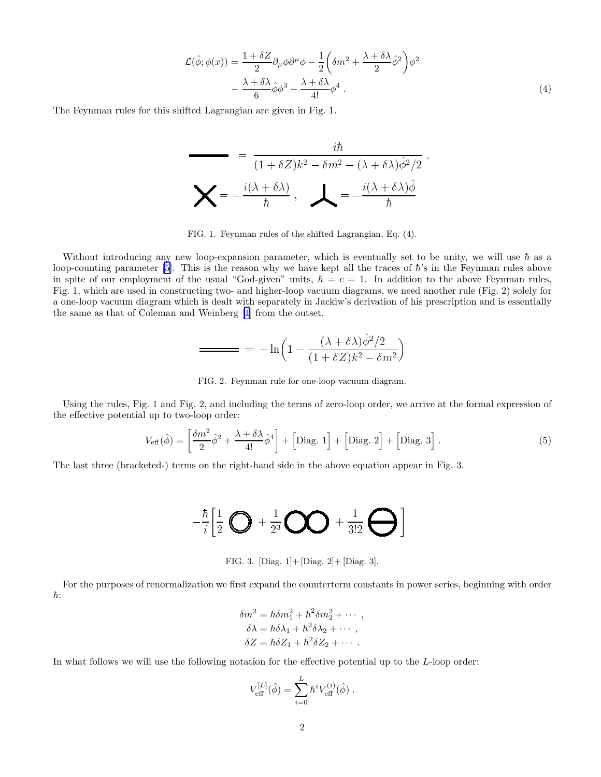$$
\mathcal{L}(\hat{\phi}; \phi(x)) = \frac{1 + \delta Z}{2} \partial_{\mu} \phi \partial^{\mu} \phi - \frac{1}{2} \left( \delta m^2 + \frac{\lambda + \delta \lambda}{2} \hat{\phi}^2 \right) \phi^2 \n- \frac{\lambda + \delta \lambda}{6} \hat{\phi} \phi^3 - \frac{\lambda + \delta \lambda}{4!} \phi^4.
$$
\n(4)

The Feynman rules for this shifted Lagrangian are given in Fig. 1.

$$
= \frac{i\hbar}{(1+\delta Z)k^2 - \delta m^2 - (\lambda + \delta \lambda)\hat{\phi}^2/2}
$$

$$
\sum = -\frac{i(\lambda + \delta \lambda)}{\hbar}, \quad \sum = -\frac{i(\lambda + \delta \lambda)\hat{\phi}}{\hbar}
$$

FIG. 1. Feynman rules of the shifted Lagrangian, Eq. (4).

Without introducing any new loop-expansion parameter, which is eventually set to be unity, we will use  $\hbar$  as a loop-countingparameter [[5](#page-6-0)]. This is the reason why we have kept all the traces of  $\hbar$ 's in the Feynman rules above in spite of our employment of the usual "God-given" units,  $\hbar = c = 1$ . In addition to the above Feynman rules, Fig. 1, which are used in constructing two- and higher-loop vacuum diagrams, we need another rule (Fig. 2) solely for a one-loop vacuum diagram which is dealt with separately in Jackiw's derivation of his prescription and is essentially the same as that of Coleman and Weinberg [\[1](#page-6-0)] from the outset.

$$
= -\ln\left(1 - \frac{(\lambda + \delta\lambda)\dot{\phi}^2/2}{(1 + \delta Z)k^2 - \delta m^2}\right)
$$

FIG. 2. Feynman rule for one-loop vacuum diagram.

Using the rules, Fig. 1 and Fig. 2, and including the terms of zero-loop order, we arrive at the formal expression of the effective potential up to two-loop order:

$$
V_{\text{eff}}(\hat{\phi}) = \left[\frac{\delta m^2}{2}\hat{\phi}^2 + \frac{\lambda + \delta\lambda}{4!}\hat{\phi}^4\right] + \left[\text{Diag. 1}\right] + \left[\text{Diag. 2}\right] + \left[\text{Diag. 3}\right].\tag{5}
$$

The last three (bracketed-) terms on the right-hand side in the above equation appear in Fig. 3.

$$
-\frac{\hbar}{i}\left[\frac{1}{2}\bigotimes +\frac{1}{2^3}\bigotimes +\frac{1}{3!2}\bigoplus\right]
$$

FIG. 3. [Diag. 1]+ [Diag. 2]+ [Diag. 3].

For the purposes of renormalization we first expand the counterterm constants in power series, beginning with order  $\hbar$ :

$$
\delta m^2 = \hbar \delta m_1^2 + \hbar^2 \delta m_2^2 + \cdots ,
$$
  
\n
$$
\delta \lambda = \hbar \delta \lambda_1 + \hbar^2 \delta \lambda_2 + \cdots ,
$$
  
\n
$$
\delta Z = \hbar \delta Z_1 + \hbar^2 \delta Z_2 + \cdots .
$$

In what follows we will use the following notation for the effective potential up to the L-loop order:

$$
V_{\text{eff}}^{[L]}(\hat{\phi}) = \sum_{i=0}^{L} \hbar^i V_{\text{eff}}^{(i)}(\hat{\phi}) .
$$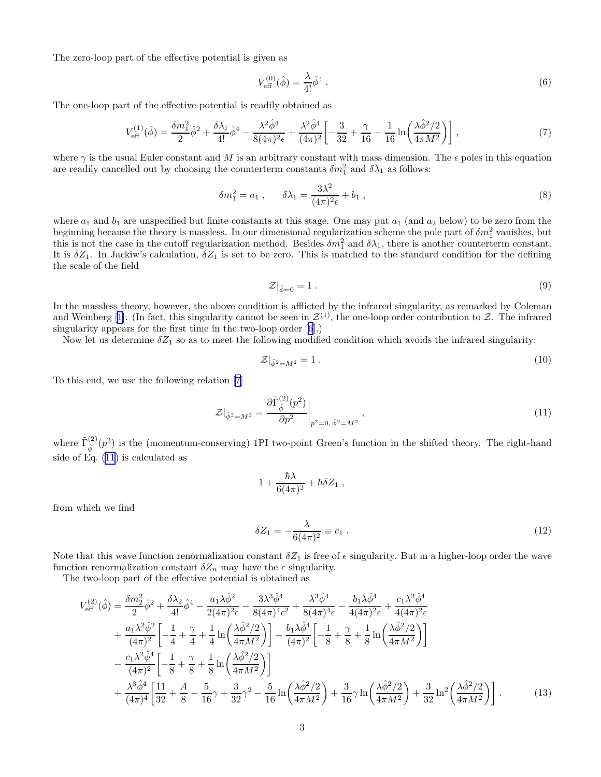<span id="page-2-0"></span>The zero-loop part of the effective potential is given as

$$
V_{\text{eff}}^{(0)}(\hat{\phi}) = \frac{\lambda}{4!} \hat{\phi}^4 \ . \tag{6}
$$

The one-loop part of the effective potential is readily obtained as

$$
V_{\text{eff}}^{(1)}(\hat{\phi}) = \frac{\delta m_1^2}{2} \hat{\phi}^2 + \frac{\delta \lambda_1}{4!} \hat{\phi}^4 - \frac{\lambda^2 \hat{\phi}^4}{8(4\pi)^2 \epsilon} + \frac{\lambda^2 \hat{\phi}^4}{(4\pi)^2} \left[ -\frac{3}{32} + \frac{\gamma}{16} + \frac{1}{16} \ln \left( \frac{\lambda \hat{\phi}^2 / 2}{4\pi M^2} \right) \right],\tag{7}
$$

where  $\gamma$  is the usual Euler constant and M is an arbitrary constant with mass dimension. The  $\epsilon$  poles in this equation are readily cancelled out by choosing the counterterm constants  $\delta m_1^2$  and  $\delta \lambda_1$  as follows:

$$
\delta m_1^2 = a_1 \;, \qquad \delta \lambda_1 = \frac{3\lambda^2}{(4\pi)^2 \epsilon} + b_1 \;, \tag{8}
$$

where  $a_1$  and  $b_1$  are unspecified but finite constants at this stage. One may put  $a_1$  (and  $a_2$  below) to be zero from the beginning because the theory is massless. In our dimensional regularization scheme the pole part of  $\delta m_1^2$  vanishes, but this is not the case in the cutoff regularization method. Besides  $\delta m_1^2$  and  $\delta \lambda_1$ , there is another counterterm constant. It is  $\delta Z_1$ . In Jackiw's calculation,  $\delta Z_1$  is set to be zero. This is matched to the standard condition for the defining the scale of the field

$$
\mathcal{Z}|_{\hat{\phi}=0} = 1. \tag{9}
$$

In the massless theory, however, the above condition is afflicted by the infrared singularity, as remarked by Coleman andWeinberg [[1\]](#page-6-0). (In fact, this singularity cannot be seen in  $\mathcal{Z}^{(1)}$ , the one-loop order contribution to  $\mathcal{Z}$ . The infrared singularity appears for the first time in the two-loop order [\[6](#page-6-0)].)

Now let us determine  $\delta Z_1$  so as to meet the following modified condition which avoids the infrared singularity:

$$
\mathcal{Z}|_{\hat{\phi}^2 = M^2} = 1. \tag{10}
$$

To this end, we use the following relation [\[7](#page-6-0)]

$$
\mathcal{Z}|_{\hat{\phi}^2 = M^2} = \frac{\partial \tilde{\Gamma}_{\hat{\phi}}^{(2)}(p^2)}{\partial p^2}\bigg|_{p^2 = 0, \hat{\phi}^2 = M^2},
$$
\n(11)

where  $\tilde{\Gamma}_1^{(2)}$  $\hat{\phi}^{(2)}(p^2)$  is the (momentum-conserving) 1PI two-point Green's function in the shifted theory. The right-hand side of Eq. (11) is calculated as

$$
1+\frac{\hbar\lambda}{6(4\pi)^2}+\hbar\delta Z_1,
$$

from which we find

$$
\delta Z_1 = -\frac{\lambda}{6(4\pi)^2} \equiv c_1 \tag{12}
$$

Note that this wave function renormalization constant  $\delta Z_1$  is free of  $\epsilon$  singularity. But in a higher-loop order the wave function renormalization constant  $\delta Z_n$  may have the  $\epsilon$  singularity.

The two-loop part of the effective potential is obtained as

$$
V_{\text{eff}}^{(2)}(\hat{\phi}) = \frac{\delta m_2^2}{2} \hat{\phi}^2 + \frac{\delta \lambda_2}{4!} \hat{\phi}^4 - \frac{a_1 \lambda \hat{\phi}^2}{2(4\pi)^2 \epsilon} - \frac{3\lambda^3 \hat{\phi}^4}{8(4\pi)^4 \epsilon^2} + \frac{\lambda^3 \hat{\phi}^4}{8(4\pi)^4 \epsilon} - \frac{b_1 \lambda \hat{\phi}^4}{4(4\pi)^2 \epsilon} + \frac{c_1 \lambda^2 \hat{\phi}^4}{4(4\pi)^2 \epsilon} + \frac{a_1 \lambda^2 \hat{\phi}^2}{(4\pi)^2} \left[ -\frac{1}{4} + \frac{\gamma}{4} + \frac{1}{4} \ln \left( \frac{\lambda \hat{\phi}^2/2}{4\pi M^2} \right) \right] + \frac{b_1 \lambda \hat{\phi}^4}{(4\pi)^2} \left[ -\frac{1}{8} + \frac{\gamma}{8} + \frac{1}{8} \ln \left( \frac{\lambda \hat{\phi}^2/2}{4\pi M^2} \right) \right] - \frac{c_1 \lambda^2 \hat{\phi}^4}{(4\pi)^2} \left[ -\frac{1}{8} + \frac{\gamma}{8} + \frac{1}{8} \ln \left( \frac{\lambda \hat{\phi}^2/2}{4\pi M^2} \right) \right] + \frac{\lambda^3 \hat{\phi}^4}{(4\pi)^4} \left[ \frac{11}{32} + \frac{A}{8} - \frac{5}{16} \gamma + \frac{3}{32} \gamma^2 - \frac{5}{16} \ln \left( \frac{\lambda \hat{\phi}^2/2}{4\pi M^2} \right) + \frac{3}{16} \gamma \ln \left( \frac{\lambda \hat{\phi}^2/2}{4\pi M^2} \right) + \frac{3}{32} \ln^2 \left( \frac{\lambda \hat{\phi}^2/2}{4\pi M^2} \right) \right].
$$
 (13)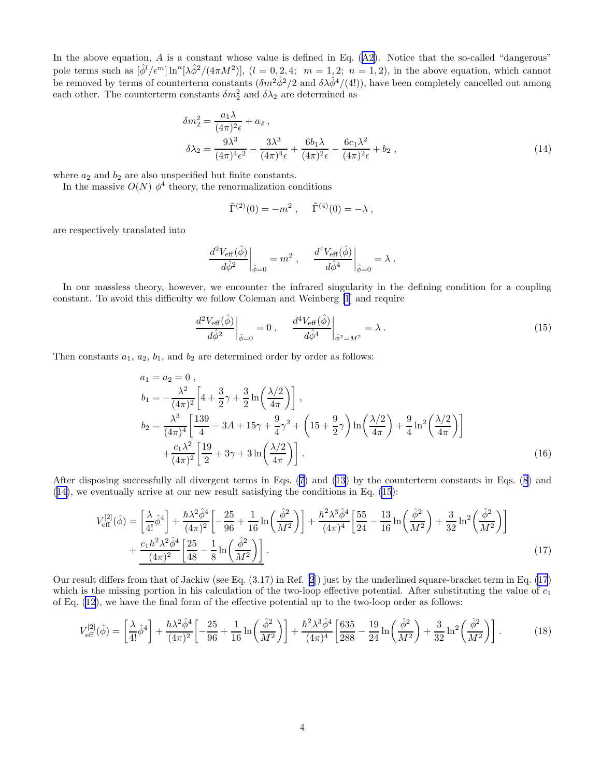<span id="page-3-0"></span>Inthe above equation,  $A$  is a constant whose value is defined in Eq.  $(A2)$  $(A2)$  $(A2)$ . Notice that the so-called "dangerous" pole terms such as  $\left[\hat{\phi}^l/\epsilon^m\right]\ln^n[\lambda\hat{\phi}^2/(4\pi M^2)]$ ,  $(l=0,2,4; m=1,2; n=1,2)$ , in the above equation, which cannot be removed by terms of counterterm constants  $(\delta m^2 \hat{\phi}^2/2$  and  $\delta \lambda \hat{\phi}^4/(4!))$ , have been completely cancelled out among each other. The counterterm constants  $\delta m_2^2$  and  $\delta \lambda_2$  are determined as

$$
\delta m_2^2 = \frac{a_1 \lambda}{(4\pi)^2 \epsilon} + a_2 ,
$$
  
\n
$$
\delta \lambda_2 = \frac{9\lambda^3}{(4\pi)^4 \epsilon^2} - \frac{3\lambda^3}{(4\pi)^4 \epsilon} + \frac{6b_1 \lambda}{(4\pi)^2 \epsilon} - \frac{6c_1 \lambda^2}{(4\pi)^2 \epsilon} + b_2 ,
$$
\n(14)

where  $a_2$  and  $b_2$  are also unspecified but finite constants.

In the massive  $O(N)$   $\phi^4$  theory, the renormalization conditions

$$
\tilde{\Gamma}^{(2)}(0) = -m^2 \; , \quad \tilde{\Gamma}^{(4)}(0) = -\lambda \; ,
$$

are respectively translated into

$$
\left.\frac{d^2 V_{\text{eff}}(\hat{\phi})}{d \hat{\phi}^2}\right|_{\hat{\phi}=0}=m^2\ ,\quad \left.\frac{d^4 V_{\text{eff}}(\hat{\phi})}{d \hat{\phi}^4}\right|_{\hat{\phi}=0}=\lambda\ .
$$

In our massless theory, however, we encounter the infrared singularity in the defining condition for a coupling constant. To avoid this difficulty we follow Coleman and Weinberg [\[1](#page-6-0)] and require

$$
\left. \frac{d^2 V_{\text{eff}}(\hat{\phi})}{d\hat{\phi}^2} \right|_{\hat{\phi}=0} = 0 \;, \quad \left. \frac{d^4 V_{\text{eff}}(\hat{\phi})}{d\hat{\phi}^4} \right|_{\hat{\phi}^2 = M^2} = \lambda \; . \tag{15}
$$

Then constants  $a_1, a_2, b_1$ , and  $b_2$  are determined order by order as follows:

$$
a_1 = a_2 = 0,
$$
  
\n
$$
b_1 = -\frac{\lambda^2}{(4\pi)^2} \left[ 4 + \frac{3}{2}\gamma + \frac{3}{2}\ln\left(\frac{\lambda/2}{4\pi}\right) \right],
$$
  
\n
$$
b_2 = \frac{\lambda^3}{(4\pi)^4} \left[ \frac{139}{4} - 3A + 15\gamma + \frac{9}{4}\gamma^2 + \left(15 + \frac{9}{2}\gamma\right)\ln\left(\frac{\lambda/2}{4\pi}\right) + \frac{9}{4}\ln^2\left(\frac{\lambda/2}{4\pi}\right) \right]
$$
  
\n
$$
+ \frac{c_1\lambda^2}{(4\pi)^2} \left[ \frac{19}{2} + 3\gamma + 3\ln\left(\frac{\lambda/2}{4\pi}\right) \right].
$$
\n(16)

After disposing successfully all divergent terms in Eqs. [\(7](#page-2-0)) and [\(13](#page-2-0)) by the counterterm constants in Eqs. [\(8](#page-2-0)) and  $(14)$ , we eventually arrive at our new result satisfying the conditions in Eq.  $(15)$ :

$$
V_{\text{eff}}^{[2]}(\hat{\phi}) = \left[\frac{\lambda}{4!}\hat{\phi}^4\right] + \frac{\hbar\lambda^2\hat{\phi}^4}{(4\pi)^2} \left[-\frac{25}{96} + \frac{1}{16}\ln\left(\frac{\hat{\phi}^2}{M^2}\right)\right] + \frac{\hbar^2\lambda^3\hat{\phi}^4}{(4\pi)^4} \left[\frac{55}{24} - \frac{13}{16}\ln\left(\frac{\hat{\phi}^2}{M^2}\right) + \frac{3}{32}\ln^2\left(\frac{\hat{\phi}^2}{M^2}\right)\right] + \frac{c_1\hbar^2\lambda^2\hat{\phi}^4}{(4\pi)^2} \left[\frac{25}{48} - \frac{1}{8}\ln\left(\frac{\hat{\phi}^2}{M^2}\right)\right].
$$
\n(17)

Our result differs from that of Jackiw (see Eq. (3.17) in Ref. [\[2](#page-6-0)]) just by the underlined square-bracket term in Eq. (17) which is the missing portion in his calculation of the two-loop effective potential. After substituting the value of  $c_1$ of Eq. [\(12](#page-2-0)), we have the final form of the effective potential up to the two-loop order as follows:

$$
V_{\text{eff}}^{[2]}(\hat{\phi}) = \left[\frac{\lambda}{4!}\hat{\phi}^4\right] + \frac{\hbar\lambda^2\hat{\phi}^4}{(4\pi)^2} \left[-\frac{25}{96} + \frac{1}{16}\ln\left(\frac{\hat{\phi}^2}{M^2}\right)\right] + \frac{\hbar^2\lambda^3\hat{\phi}^4}{(4\pi)^4} \left[\frac{635}{288} - \frac{19}{24}\ln\left(\frac{\hat{\phi}^2}{M^2}\right) + \frac{3}{32}\ln^2\left(\frac{\hat{\phi}^2}{M^2}\right)\right].\tag{18}
$$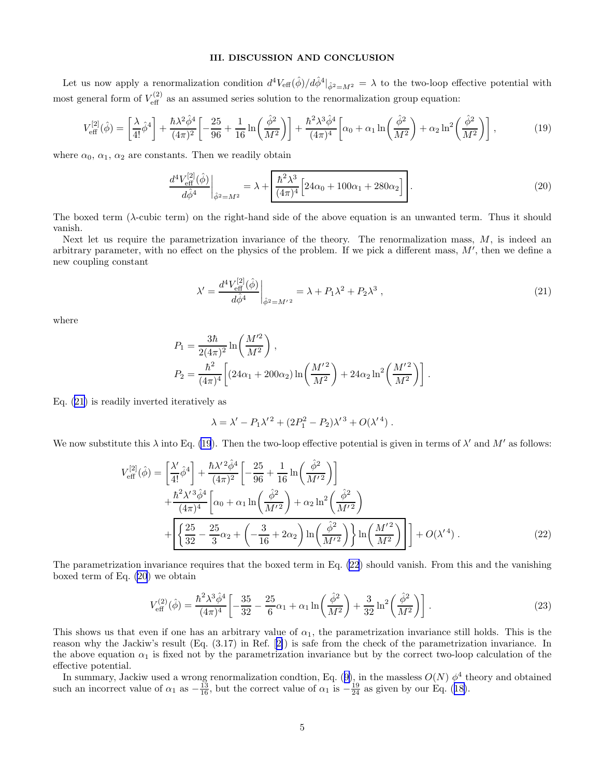# III. DISCUSSION AND CONCLUSION

Let us now apply a renormalization condition  $d^4V_{\text{eff}}(\hat{\phi})/d\hat{\phi}^4|_{\hat{\phi}^2=M^2}=\lambda$  to the two-loop effective potential with most general form of  $V_{\text{eff}}^{(2)}$  as an assumed series solution to the renormalization group equation:

$$
V_{\text{eff}}^{[2]}(\hat{\phi}) = \left[\frac{\lambda}{4!}\hat{\phi}^4\right] + \frac{\hbar\lambda^2\hat{\phi}^4}{(4\pi)^2} \left[-\frac{25}{96} + \frac{1}{16}\ln\left(\frac{\hat{\phi}^2}{M^2}\right)\right] + \frac{\hbar^2\lambda^3\hat{\phi}^4}{(4\pi)^4} \left[\alpha_0 + \alpha_1\ln\left(\frac{\hat{\phi}^2}{M^2}\right) + \alpha_2\ln^2\left(\frac{\hat{\phi}^2}{M^2}\right)\right],\tag{19}
$$

where  $\alpha_0$ ,  $\alpha_1$ ,  $\alpha_2$  are constants. Then we readily obtain

$$
\frac{d^4 V_{\text{eff}}^{[2]}(\hat{\phi})}{d\hat{\phi}^4}\bigg|_{\hat{\phi}^2 = M^2} = \lambda + \frac{\hbar^2 \lambda^3}{(4\pi)^4} \left[24\alpha_0 + 100\alpha_1 + 280\alpha_2\right].
$$
\n(20)

The boxed term (λ-cubic term) on the right-hand side of the above equation is an unwanted term. Thus it should vanish.

Next let us require the parametrization invariance of the theory. The renormalization mass,  $M$ , is indeed an arbitrary parameter, with no effect on the physics of the problem. If we pick a different mass,  $M'$ , then we define a new coupling constant

$$
\lambda' = \frac{d^4 V_{\text{eff}}^{[2]}(\hat{\phi})}{d\hat{\phi}^4} \bigg|_{\hat{\phi}^2 = M'^2} = \lambda + P_1 \lambda^2 + P_2 \lambda^3 , \qquad (21)
$$

where

$$
P_1 = \frac{3\hbar}{2(4\pi)^2} \ln\left(\frac{M'^2}{M^2}\right),
$$
  
\n
$$
P_2 = \frac{\hbar^2}{(4\pi)^4} \left[ (24\alpha_1 + 200\alpha_2) \ln\left(\frac{M'^2}{M^2}\right) + 24\alpha_2 \ln^2\left(\frac{M'^2}{M^2}\right) \right].
$$

Eq. (21) is readily inverted iteratively as

$$
\lambda = \lambda' - P_1 \lambda'^2 + (2P_1^2 - P_2) \lambda'^3 + O(\lambda'^4) .
$$

We now substitute this  $\lambda$  into Eq. (19). Then the two-loop effective potential is given in terms of  $\lambda'$  and  $M'$  as follows:

$$
V_{\text{eff}}^{[2]}(\hat{\phi}) = \left[\frac{\lambda'}{4!}\hat{\phi}^4\right] + \frac{\hbar\lambda'^2\hat{\phi}^4}{(4\pi)^2} \left[-\frac{25}{96} + \frac{1}{16}\ln\left(\frac{\hat{\phi}^2}{M'^2}\right)\right] + \frac{\hbar^2\lambda'^3\hat{\phi}^4}{(4\pi)^4} \left[\alpha_0 + \alpha_1\ln\left(\frac{\hat{\phi}^2}{M'^2}\right) + \alpha_2\ln^2\left(\frac{\hat{\phi}^2}{M'^2}\right) \right] + \left[\frac{25}{32} - \frac{25}{3}\alpha_2 + \left(-\frac{3}{16} + 2\alpha_2\right)\ln\left(\frac{\hat{\phi}^2}{M'^2}\right)\right] \ln\left(\frac{M'^2}{M^2}\right)\right] + O(\lambda'^4) .
$$
 (22)

The parametrization invariance requires that the boxed term in Eq. (22) should vanish. From this and the vanishing boxed term of Eq. (20) we obtain

$$
V_{\text{eff}}^{(2)}(\hat{\phi}) = \frac{\hbar^2 \lambda^3 \hat{\phi}^4}{(4\pi)^4} \left[ -\frac{35}{32} - \frac{25}{6} \alpha_1 + \alpha_1 \ln\left(\frac{\hat{\phi}^2}{M^2}\right) + \frac{3}{32} \ln^2\left(\frac{\hat{\phi}^2}{M^2}\right) \right].
$$
 (23)

This shows us that even if one has an arbitrary value of  $\alpha_1$ , the parametrization invariance still holds. This is the reason why the Jackiw's result (Eq. (3.17) in Ref.[[2\]](#page-6-0)) is safe from the check of the parametrization invariance. In the above equation  $\alpha_1$  is fixed not by the parametrization invariance but by the correct two-loop calculation of the effective potential.

Insummary, Jackiw used a wrong renormalization condtion, Eq. ([9\)](#page-2-0), in the massless  $O(N) \phi^4$  theory and obtained suchan incorrect value of  $\alpha_1$  as  $-\frac{13}{16}$ , but the correct value of  $\alpha_1$  is  $-\frac{19}{24}$  as given by our Eq. ([18\)](#page-3-0).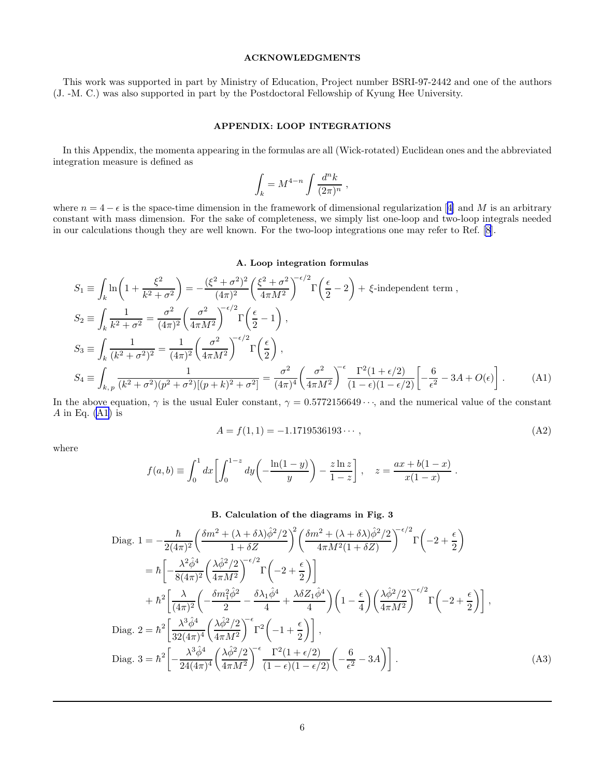# ACKNOWLEDGMENTS

<span id="page-5-0"></span>This work was supported in part by Ministry of Education, Project number BSRI-97-2442 and one of the authors (J. -M. C.) was also supported in part by the Postdoctoral Fellowship of Kyung Hee University.

# APPENDIX: LOOP INTEGRATIONS

In this Appendix, the momenta appearing in the formulas are all (Wick-rotated) Euclidean ones and the abbreviated integration measure is defined as

$$
\int_k = M^{4-n} \int \frac{d^n k}{(2\pi)^n} ,
$$

where $n = 4 - \epsilon$  is the space-time dimension in the framework of dimensional regularization [[4\]](#page-6-0) and M is an arbitrary constant with mass dimension. For the sake of completeness, we simply list one-loop and two-loop integrals needed in our calculations though they are well known. For the two-loop integrations one may refer to Ref. [\[8](#page-6-0)].

#### A. Loop integration formulas

$$
S_1 \equiv \int_k \ln\left(1 + \frac{\xi^2}{k^2 + \sigma^2}\right) = -\frac{(\xi^2 + \sigma^2)^2}{(4\pi)^2} \left(\frac{\xi^2 + \sigma^2}{4\pi M^2}\right)^{-\epsilon/2} \Gamma\left(\frac{\epsilon}{2} - 2\right) + \xi\text{-independent term},
$$
  
\n
$$
S_2 \equiv \int_k \frac{1}{k^2 + \sigma^2} = \frac{\sigma^2}{(4\pi)^2} \left(\frac{\sigma^2}{4\pi M^2}\right)^{-\epsilon/2} \Gamma\left(\frac{\epsilon}{2} - 1\right),
$$
  
\n
$$
S_3 \equiv \int_k \frac{1}{(k^2 + \sigma^2)^2} = \frac{1}{(4\pi)^2} \left(\frac{\sigma^2}{4\pi M^2}\right)^{-\epsilon/2} \Gamma\left(\frac{\epsilon}{2}\right),
$$
  
\n
$$
S_4 \equiv \int_{k, p} \frac{1}{(k^2 + \sigma^2)(p^2 + \sigma^2)[(p + k)^2 + \sigma^2]} = \frac{\sigma^2}{(4\pi)^4} \left(\frac{\sigma^2}{4\pi M^2}\right)^{-\epsilon} \frac{\Gamma^2(1 + \epsilon/2)}{(1 - \epsilon)(1 - \epsilon/2)} \left[-\frac{6}{\epsilon^2} - 3A + O(\epsilon)\right].
$$
 (A1)

In the above equation,  $\gamma$  is the usual Euler constant,  $\gamma = 0.5772156649 \cdots$ , and the numerical value of the constant A in Eq.  $(A1)$  is

$$
A = f(1,1) = -1.1719536193\cdots,\tag{A2}
$$

where

$$
f(a,b) \equiv \int_0^1 dx \left[ \int_0^{1-z} dy \left( -\frac{\ln(1-y)}{y} \right) - \frac{z \ln z}{1-z} \right], \quad z = \frac{ax + b(1-x)}{x(1-x)}.
$$

### B. Calculation of the diagrams in Fig. 3

Diag. 
$$
1 = -\frac{\hbar}{2(4\pi)^{2}} \left( \frac{\delta m^{2} + (\lambda + \delta\lambda)\hat{\phi}^{2}/2}{1 + \delta Z} \right)^{2} \left( \frac{\delta m^{2} + (\lambda + \delta\lambda)\hat{\phi}^{2}/2}{4\pi M^{2}(1 + \delta Z)} \right)^{-\epsilon/2} \Gamma \left( -2 + \frac{\epsilon}{2} \right)
$$
  
\n
$$
= \hbar \left[ -\frac{\lambda^{2}\hat{\phi}^{4}}{8(4\pi)^{2}} \left( \frac{\lambda\hat{\phi}^{2}/2}{4\pi M^{2}} \right)^{-\epsilon/2} \Gamma \left( -2 + \frac{\epsilon}{2} \right) \right]
$$
  
\n
$$
+ \hbar^{2} \left[ \frac{\lambda}{(4\pi)^{2}} \left( -\frac{\delta m_{1}^{2}\hat{\phi}^{2}}{2} - \frac{\delta\lambda_{1}\hat{\phi}^{4}}{4} + \frac{\lambda\delta Z_{1}\hat{\phi}^{4}}{4} \right) \left( 1 - \frac{\epsilon}{4} \right) \left( \frac{\lambda\hat{\phi}^{2}/2}{4\pi M^{2}} \right)^{-\epsilon/2} \Gamma \left( -2 + \frac{\epsilon}{2} \right) \right],
$$
  
\nDiag. 
$$
2 = \hbar^{2} \left[ \frac{\lambda^{3}\hat{\phi}^{4}}{32(4\pi)^{4}} \left( \frac{\lambda\hat{\phi}^{2}/2}{4\pi M^{2}} \right)^{-\epsilon} \Gamma^{2} \left( -1 + \frac{\epsilon}{2} \right) \right],
$$
  
\nDiag. 
$$
3 = \hbar^{2} \left[ -\frac{\lambda^{3}\hat{\phi}^{4}}{24(4\pi)^{4}} \left( \frac{\lambda\hat{\phi}^{2}/2}{4\pi M^{2}} \right)^{-\epsilon} \frac{\Gamma^{2}(1 + \epsilon/2)}{(1 - \epsilon)(1 - \epsilon/2)} \left( -\frac{6}{\epsilon^{2}} - 3A \right) \right].
$$
 (A3)